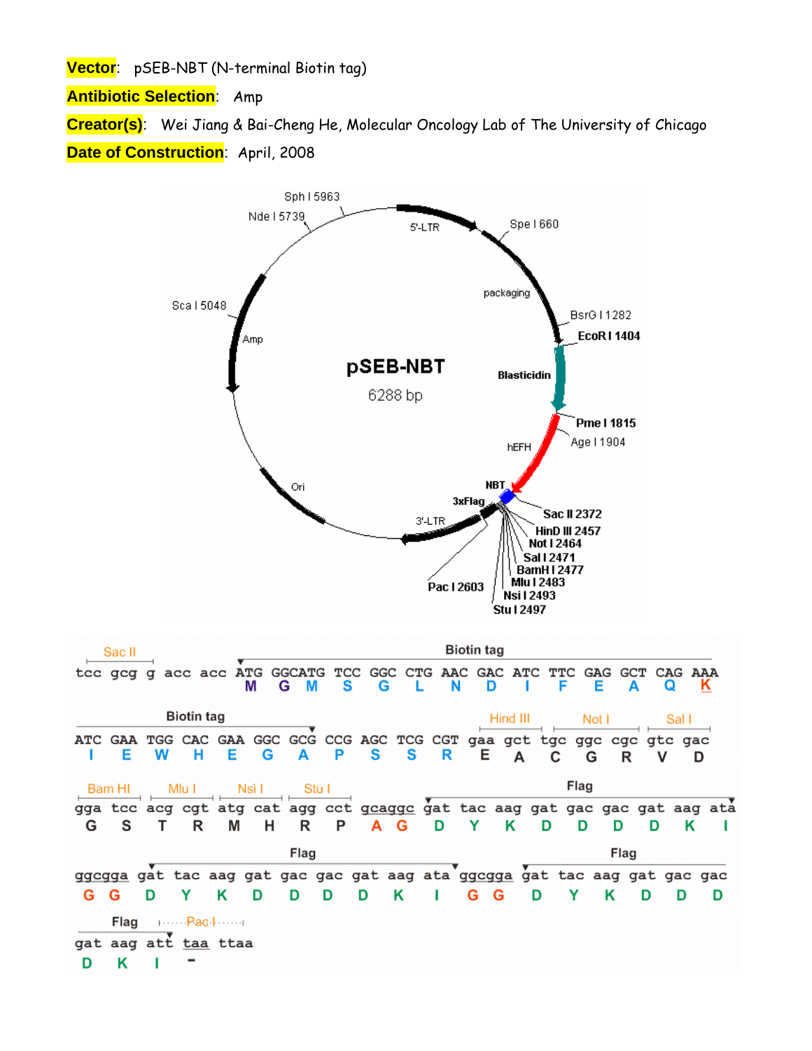**Vector**: pSEB-NBT (N-terminal Biotin tag)

**Antibiotic Selection**: Amp

**Creator(s)**: Wei Jiang & Bai-Cheng He, Molecular Oncology Lab of The University of Chicago **Date of Construction**: April, 2008

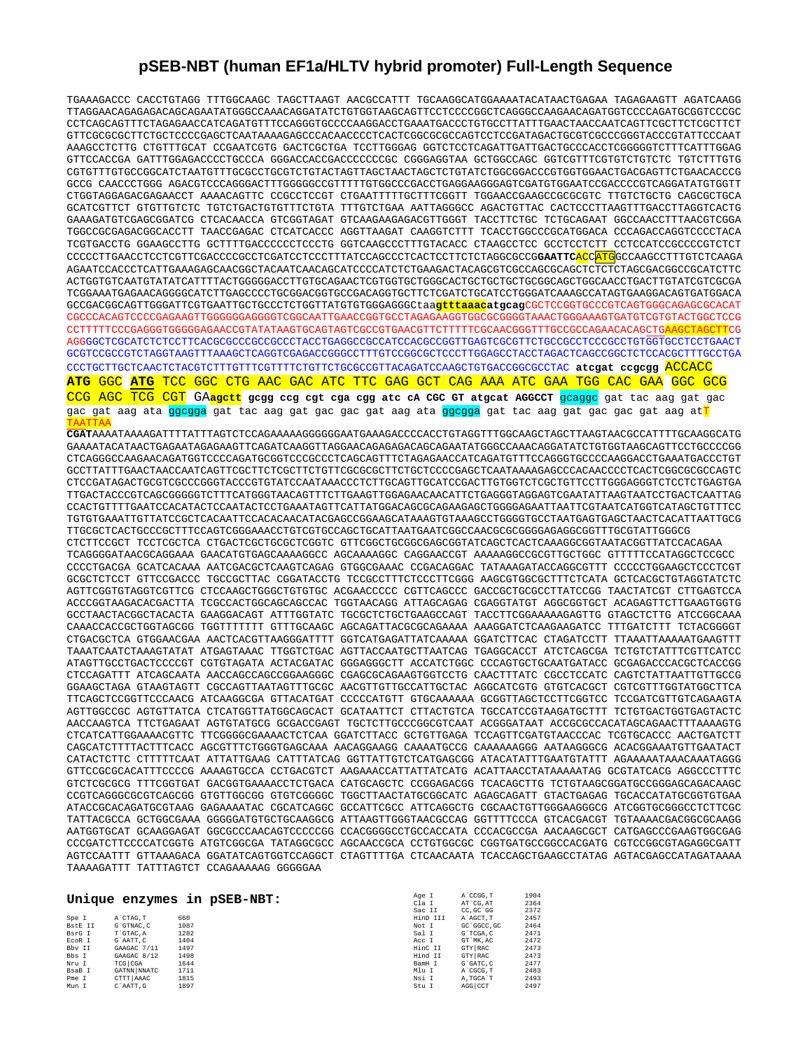## **pSEB-NBT (human EF1a/HLTV hybrid promoter) Full-Length Sequence**

TGAAAGACCC CACCTGTAGG TTTGGCAAGC TAGCTTAAGT AACGCCATTT TGCAAGGCATGGAAAATACATAACTGAGAA TAGAGAAGTT AGATCAAGG TTAGGAACAGAGAGACAGCAGAATATGGGCCAAACAGGATATCTGTGGTAAGCAGTTCCTCCCCGGCTCAGGGCCAAGAACAGATGGTCCCCAGATGCGGTCCCGC CCTCAGCAGTTTCTAGAGAACCATCAGATGTTTCCAGGGTGCCCCAAGGACCTGAAATGACCCTGTGCCTTATTTGAACTAACCAATCAGTTCGCTTCTCGCTTCT GTTCGCGCGCTTCTGCTCCCCGAGCTCAATAAAAGAGCCCACAACCCCTCACTCGGCGCGCCAGTCCTCCGATAGACTGCGTCGCCCGGGTACCCGTATTCCCAAT AAAGCCTCTTG CTGTTTGCAT CCGAATCGTG GACTCGCTGA TCCTTGGGAG GGTCTCCTCAGATTGATTGACTGCCCACCTCGGGGGTCTTTCATTTGGAG GTTCCACCGA GATTTGGAGACCCCTGCCCA GGGACCACCGACCCCCCCGC CGGGAGGTAA GCTGGCCAGC GGTCGTTTCGTGTCTGTCTC TGTCTTTGTG CGTGTTTGTGCCGGCATCTAATGTTTGCGCCTGCGTCTGTACTAGTTAGCTAACTAGCTCTGTATCTGGCGGACCCGTGGTGGAACTGACGAGTTCTGAACACCCG GCCG CAACCCTGGG AGACGTCCCAGGGACTTTGGGGGCCGTTTTTGTGGCCCGACCTGAGGAAGGGAGTCGATGTGGAATCCGACCCCGTCAGGATATGTGGTT CTGGTAGGAGACGAGAACCT AAAACAGTTC CCGCCTCCGT CTGAATTTTTGCTTTCGGTT TGGAACCGAAGCCGCGCGTC TTGTCTGCTG CAGCGCTGCA GCATCGTTCT GTGTTGTCTC TGTCTGACTGTGTTTCTGTA TTTGTCTGAA AATTAGGGCC AGACTGTTAC CACTCCCTTAAGTTTGACCTTAGGTCACTG GAAAGATGTCGAGCGGATCG CTCACAACCA GTCGGTAGAT GTCAAGAAGAGACGTTGGGT TACCTTCTGC TCTGCAGAAT GGCCAACCTTTAACGTCGGA TGGCCGCGAGACGGCACCTT TAACCGAGAC CTCATCACCC AGGTTAAGAT CAAGGTCTTT TCACCTGGCCCGCATGGACA CCCAGACCAGGTCCCCTACA TCGTGACCTG GGAAGCCTTG GCTTTTGACCCCCCTCCCTG GGTCAAGCCCTTTGTACACC CTAAGCCTCC GCCTCCTCTT CCTCCATCCGCCCCGTCTCT CCCCCTTGAACCTCCTCGTTCGACCCCGCCTCGATCCTCCCTTTATCCAGCCCTCACTCCTTCTCTAGGCGCCG**GAATTC**ACCATGGCCAAGCCTTTGTCTCAAGA AGAATCCACCCTCATTGAAAGAGCAACGGCTACAATCAACAGCATCCCCATCTCTGAAGACTACAGCGTCGCCAGCGCAGCTCTCTCTAGCGACGGCCGCATCTTC ACTGGTGTCAATGTATATCATTTTACTGGGGGACCTTGTGCAGAACTCGTGGTGCTGGGCACTGCTGCTGCTGCGGCAGCTGGCAACCTGACTTGTATCGTCGCGA TCGGAAATGAGAACAGGGGCATCTTGAGCCCCTGCGGACGGTGCCGACAGGTGCTTCTCGATCTGCATCCTGGGATCAAAGCCATAGTGAAGGACAGTGATGGACA GCCGACGGCAGTTGGGATTCGTGAATTGCTGCCCTCTGGTTATGTGTGGGAGGGCtaa**gtttaaacatgcag**CGCTCCGGTGCCCGTCAGTGGGCAGAGCGCACAT CGCCCACAGTCCCCGAGAAGTTGGGGGGAGGGGTCGGCAATTGAACCGGTGCCTAGAGAAGGTGGCGCGGGGTAAACTGGGAAAGTGATGTCGTGTACTGGCTCCG CCTTTTTCCCGAGGGTGGGGGAGAACCGTATATAAGTGCAGTAGTCGCCGTGAACGTTCTTTTTCGCAACGGGTTTGCCGCCAGAACACAGCTGAAGCTAGCTTCG AGGGGCTCGCATCTCTCCTTCACGCGCCCGCCGCCCTACCTGAGGCCGCCATCCACGCCGGTTGAGTCGCGTTCTGCCGCCTCCCGCCTGTGGTGCCTCCTGAACT GCGTCCGCCGTCTAGGTAAGTTTAAAGCTCAGGTCGAGACCGGGCCTTTGTCCGGCGCTCCCTTGGAGCCTACCTAGACTCAGCCGGCTCTCCACGCTTTGCCTGA CCCTGCTTGCTCAACTCTACGTCTTTGTTTCGTTTTCTGTTCTGCGCCGTTACAGATCCAAGCTGTGACCGGCGCCTAC **atcgat ccgcgg** ACCACC **ATG** GGC **ATG** TCC GGC CTG AAC GAC ATC TTC GAG GCT CAG AAA ATC GAA TGG CAC GAA GGC GCG CCG AGC TCG CGT GA**agctt gcgg ccg cgt cga cgg atc cA CGC GT atgcat AGGCCT** gcaggc gat tac aag gat gac gac gat aag ata <mark>ggcgga</mark> gat tac aag gat gac gac gat aag ata <mark>ggcgga</mark> gat tac aag gat gac gac gat aag at<mark>T</mark> TAATTAA **CGAT**AAAATAAAAGATTTTATTTAGTCTCCAGAAAAAGGGGGGAATGAAAGACCCCACCTGTAGGTTTGGCAAGCTAGCTTAAGTAACGCCATTTTGCAAGGCATG GAAAATACATAACTGAGAATAGAGAAGTTCAGATCAAGGTTAGGAACAGAGAGACAGCAGAATATGGGCCAAACAGGATATCTGTGGTAAGCAGTTCCTGCCCCGG CTCAGGGCCAAGAACAGATGGTCCCCAGATGCGGTCCCGCCCTCAGCAGTTTCTAGAGAACCATCAGATGTTTCCAGGGTGCCCCAAGGACCTGAAATGACCCTGT GCCTTATTTGAACTAACCAATCAGTTCGCTTCTCGCTTCTGTTCGCGCGCTTCTGCTCCCCGAGCTCAATAAAAGAGCCCACAACCCCTCACTCGGCGCGCCAGTC CTCCGATAGACTGCGTCGCCCGGGTACCCGTGTATCCAATAAACCCTCTTGCAGTTGCATCCGACTTGTGGTCTCGCTGTTCCTTGGGAGGGTCTCCTCTGAGTGA TTGACTACCCGTCAGCGGGGGTCTTTCATGGGTAACAGTTTCTTGAAGTTGGAGAACAACATTCTGAGGGTAGGAGTCGAATATTAAGTAATCCTGACTCAATTAG CCACTGTTTTGAATCCACATACTCCAATACTCCTGAAATAGTTCATTATGGACAGCGCAGAAGAGCTGGGGAGAATTAATTCGTAATCATGGTCATAGCTGTTTCC TGTGTGAAATTGTTATCCGCTCACAATTCCACACAACATACGAGCCGGAAGCATAAAGTGTAAAGCCTGGGGTGCCTAATGAGTGAGCTAACTCACATTAATTGCG TTGCGCTCACTGCCCGCTTTCCAGTCGGGAAACCTGTCGTGCCAGCTGCATTAATGAATCGGCCAACGCGCGGGGAGAGGCGGTTTGCGTATTGGGCG CTCTTCCGCT TCCTCGCTCA CTGACTCGCTGCGCTCGGTC GTTCGGCTGCGGCGAGCGGTATCAGCTCACTCAAAGGCGGTAATACGGTTATCCACAGAA TCAGGGGATAACGCAGGAAA GAACATGTGAGCAAAAGGCC AGCAAAAGGC CAGGAACCGT AAAAAGGCCGCGTTGCTGGC GTTTTTCCATAGGCTCCGCC CCCCTGACGA GCATCACAAA AATCGACGCTCAAGTCAGAG GTGGCGAAAC CCGACAGGAC TATAAAGATACCAGGCGTTT CCCCCTGGAAGCTCCCTCGT GCGCTCTCCT GTTCCGACCC TGCCGCTTAC CGGATACCTG TCCGCCTTTCTCCCTTCGGG AAGCGTGGCGCTTTCTCATA GCTCACGCTGTAGGTATCTC AGTTCGGTGTAGGTCGTTCG CTCCAAGCTGGGCTGTGTGC ACGAACCCCC CGTTCAGCCC GACCGCTGCGCCTTATCCGG TAACTATCGT CTTGAGTCCA ACCCGGTAAGACACGACTTA TCGCCACTGGCAGCAGCCAC TGGTAACAGG ATTAGCAGAG CGAGGTATGT AGGCGGTGCT ACAGAGTTCTTGAAGTGGTG GCCTAACTACGGCTACACTA GAAGGACAGT ATTTGGTATC TGCGCTCTGCTGAAGCCAGT TACCTTCGGAAAAAGAGTTG GTAGCTCTTG ATCCGGCAAA CAAACCACCGCTGGTAGCGG TGGTTTTTTT GTTTGCAAGC AGCAGATTACGCGCAGAAAA AAAGGATCTCAAGAAGATCC TTTGATCTTT TCTACGGGGT CTGACGCTCA GTGGAACGAA AACTCACGTTAAGGGATTTT GGTCATGAGATTATCAAAAA GGATCTTCAC CTAGATCCTT TTAAATTAAAAATGAAGTTT TAAATCAATCTAAAGTATAT ATGAGTAAAC TTGGTCTGAC AGTTACCAATGCTTAATCAG TGAGGCACCT ATCTCAGCGA TCTGTCTATTTCGTTCATCC ATAGTTGCCTGACTCCCCGT CGTGTAGATA ACTACGATAC GGGAGGGCTT ACCATCTGGC CCCAGTGCTGCAATGATACC GCGAGACCCACGCTCACCGG CTCCAGATTT ATCAGCAATA AACCAGCCAGCCGGAAGGGC CGAGCGCAGAAGTGGTCCTG CAACTTTATC CGCCTCCATC CAGTCTATTAATTGTTGCCG GGAAGCTAGA GTAAGTAGTT CGCCAGTTAATAGTTTGCGC AACGTTGTTGCCATTGCTAC AGGCATCGTG GTGTCACGCT CGTCGTTTGGTATGGCTTCA TTCAGCTCCGGTTCCCAACG ATCAAGGCGA GTTACATGAT CCCCCATGTT GTGCAAAAAA GCGGTTAGCTCCTTCGGTCC TCCGATCGTTGTCAGAAGTA AGTTGGCCGC AGTGTTATCA CTCATGGTTATGGCAGCACT GCATAATTCT CTTACTGTCA TGCCATCCGTAAGATGCTTT TCTGTGACTGGTGAGTACTC AACCAAGTCA TTCTGAGAAT AGTGTATGCG GCGACCGAGT TGCTCTTGCCCGGCGTCAAT ACGGGATAAT ACCGCGCCACATAGCAGAACTTTAAAAGTG CTCATCATTGGAAAACGTTC TTCGGGGCGAAAACTCTCAA GGATCTTACC GCTGTTGAGA TCCAGTTCGATGTAACCCAC TCGTGCACCC AACTGATCTT CAGCATCTTTTACTTTCACC AGCGTTTCTGGGTGAGCAAA AACAGGAAGG CAAAATGCCG CAAAAAAGGG AATAAGGGCG ACACGGAAATGTTGAATACT CATACTCTTC CTTTTTCAAT ATTATTGAAG CATTTATCAG GGTTATTGTCTCATGAGCGG ATACATATTTGAATGTATTT AGAAAAATAAACAAATAGGG GTTCCGCGCACATTTCCCCG AAAAGTGCCA CCTGACGTCT AAGAAACCATTATTATCATG ACATTAACCTATAAAAATAG GCGTATCACG AGGCCCTTTC GTCTCGCGCG TTTCGGTGAT GACGGTGAAAACCTCTGACA CATGCAGCTC CCGGAGACGG TCACAGCTTG TCTGTAAGCGGATGCCGGGAGCAGACAAGC CCGTCAGGGCGCGTCAGCGG GTGTTGGCGG GTGTCGGGGC TGGCTTAACTATGCGGCATC AGAGCAGATT GTACTGAGAG TGCACCATATGCGGTGTGAA ATACCGCACAGATGCGTAAG GAGAAAATAC CGCATCAGGC GCCATTCGCC ATTCAGGCTG CGCAACTGTTGGGAAGGGCG ATCGGTGCGGGCCTCTTCGC TATTACGCCA GCTGGCGAAA GGGGGATGTGCTGCAAGGCG ATTAAGTTGGGTAACGCCAG GGTTTTCCCA GTCACGACGT TGTAAAACGACGGCGCAAGG AATGGTGCAT GCAAGGAGAT GGCGCCCAACAGTCCCCCGG CCACGGGGCCTGCCACCATA CCCACGCCGA AACAAGCGCT CATGAGCCCGAAGTGGCGAG CCCGATCTTCCCCATCGGTG ATGTCGGCGA TATAGGCGCC AGCAACCGCA CCTGTGGCGC CGGTGATGCCGGCCACGATG CGTCCGGCGTAGAGGCGATT AGTCCAATTT GTTAAAGACA GGATATCAGTGGTCCAGGCT CTAGTTTTGA CTCAACAATA TCACCAGCTGAAGCCTATAG AGTACGAGCCATAGATAAAA TAAAAGATTT TATTTAGTCT CCAGAAAAAG GGGGGAA

|             |      |                             | A CCGG.T   | 1904 |
|-------------|------|-----------------------------|------------|------|
|             |      | Cla I                       | AT CG. AT  | 2364 |
|             |      | Sac II                      | CC.GC'GG   | 2372 |
| A`CTAG.T    | 660  | HinD III                    | A AGCT.T   | 2457 |
| G`GTNAC.C   | 1087 | Not I                       | GC GGCC.GC | 2464 |
| T'GTAC.A    | 1282 | Sal I                       | G`TCGA.C   | 2471 |
| G'AATT.C    | 1404 | Acc I                       | GT MK.AC   | 2472 |
| GAAGAC 7/11 | 1497 | HinC II                     | GTY RAC    | 2473 |
| GAAGAC 8/12 | 1498 | Hind II                     | GTY RAC    | 2473 |
| TCG CGA     | 1644 | BamH I                      | G`GATC, C  | 2477 |
| GATNN NNATC | 1711 | Mlu I                       | A CGCG.T   | 2483 |
| CTTT AAAC   | 1815 | Nsi I                       | A.TGCA'T   | 2493 |
| C'AATT.G    | 1897 | Stu I                       | AGG CCT    | 2497 |
|             |      | Unique enzymes in pSEB-NBT: | Age I      |      |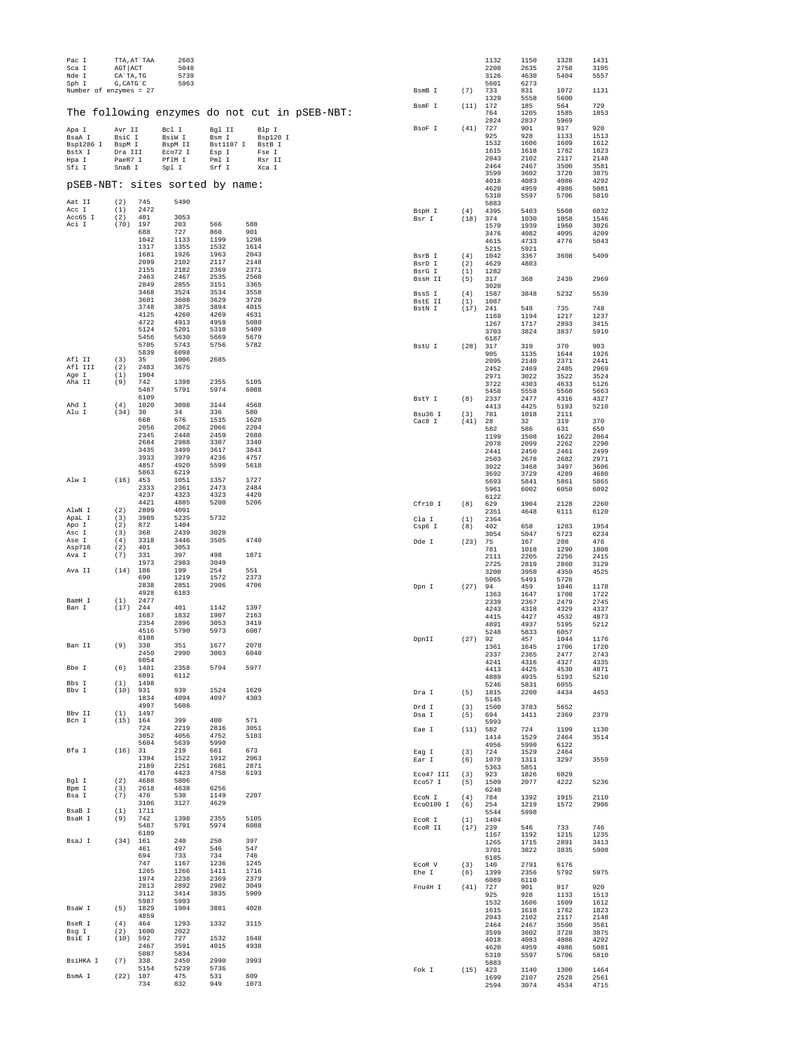| Pac I<br>Sca I                           | AGT ACT           | TTA, AT`TAA  | 2603<br>5048                    |                    |                 |                                               |                          |            | 1132<br>2208 | 1150<br>2635 | 1328<br>2758 | 1431<br>3105 |
|------------------------------------------|-------------------|--------------|---------------------------------|--------------------|-----------------|-----------------------------------------------|--------------------------|------------|--------------|--------------|--------------|--------------|
| Nde I                                    | CA`TA, TG         |              | 5739                            |                    |                 |                                               |                          |            | 3126         | 4630         | 5404         | 5557         |
| Sph I<br>Number of enzymes = 27          | G, CATG`C         |              | 5963                            |                    |                 |                                               | BsmB I                   | (7)        | 5601<br>733  | 6273<br>831  | 1072         | 1131         |
|                                          |                   |              |                                 |                    |                 |                                               |                          |            | 1329         | 5558         | 5600         |              |
|                                          |                   |              |                                 |                    |                 |                                               | BsmF I                   | (11)       | 172          | 185          | 564          | 729          |
|                                          |                   |              |                                 |                    |                 | The following enzymes do not cut in pSEB-NBT: |                          |            | 764<br>2824  | 1205<br>2837 | 1585<br>5969 | 1853         |
| Apa I                                    | Avr II            |              | Bcl I                           | Bgl II             | Blp I           |                                               | BsoF I                   | (41)       | 727          | 901          | 917          | 920          |
| BsaA I                                   | BsiC I            |              | BsiW I                          | Bsm I              | Bsp120 I        |                                               |                          |            | 925<br>1532  | 928<br>1606  | 1133<br>1609 | 1513<br>1612 |
| <b>Bsp1286</b><br>$\mathbb{I}$<br>BstX I | BspM I<br>Dra III |              | BspM II<br>Eco72 I              | Bst1107 I<br>Esp I | BstB I<br>Fse I |                                               |                          |            | 1615         | 1618         | 1782         | 1823         |
| Hpa I                                    | PaeR7 I           |              | PflM I                          | Pml I              | Rsr II          |                                               |                          |            | 2043         | 2102         | 2117         | 2148         |
| Sfi I                                    | SnaB I            |              | Spl I                           | Srf I              | Xca I           |                                               |                          |            | 2464<br>3599 | 2467<br>3602 | 3500<br>3720 | 3581<br>3875 |
|                                          |                   |              | pSEB-NBT: sites sorted by name: |                    |                 |                                               |                          |            | 4018         | 4083         | 4086         | 4292         |
|                                          |                   |              |                                 |                    |                 |                                               |                          |            | 4620<br>5310 | 4959<br>5597 | 4986<br>5706 | 5081<br>5810 |
| Aat II                                   | (2)               | 745          | 5490                            |                    |                 |                                               |                          |            | 5883         |              |              |              |
| Acc I<br>Acc65 I                         | (1)<br>(2)        | 2472<br>401  | 3053                            |                    |                 |                                               | BspH I                   | (4)        | 4395         | 5403         | 5508         | 6032         |
| Aci I                                    | (70)              | 197          | 203                             | 566                | 588             |                                               | Bsr I                    | (18)       | 374<br>1570  | 1030<br>1939 | 1058<br>1960 | 1546<br>3026 |
|                                          |                   | 688          | 727                             | 860                | 901             |                                               |                          |            | 3476         | 4082         | 4095         | 4209         |
|                                          |                   | 1042<br>1317 | 1133<br>1355                    | 1199<br>1532       | 1298<br>1614    |                                               |                          |            | 4615<br>5215 | 4733<br>5921 | 4776         | 5043         |
|                                          |                   | 1681         | 1926                            | 1963               | 2043            |                                               | BsrB I                   | (4)        | 1042         | 3367         | 3608         | 5409         |
|                                          |                   | 2099<br>2155 | 2102<br>2182                    | 2117<br>2369       | 2148<br>2371    |                                               | BsrD I                   | (2)        | 4629         | 4803         |              |              |
|                                          |                   | 2463         | 2467                            | 2535               | 2568            |                                               | BsrG I<br><b>BssH II</b> | (1)<br>(5) | 1282<br>317  | 368          | 2439         | 2969         |
|                                          |                   | 2849         | 2855                            | 3151               | 3365            |                                               |                          |            | 3020         |              |              |              |
|                                          |                   | 3468<br>3601 | 3524<br>3608                    | 3534<br>3629       | 3558<br>3720    |                                               | BssS I<br><b>BstE II</b> | (4)<br>(1) | 1587<br>1087 | 3848         | 5232         | 5539         |
|                                          |                   | 3748         | 3875                            | 3894               | 4015            |                                               | BstN I                   | (17)       | 241          | 548          | 735          | 748          |
|                                          |                   | 4125<br>4722 | 4260<br>4913                    | 4269<br>4959       | 4631<br>5080    |                                               |                          |            | 1169         | 1194         | 1217         | 1237         |
|                                          |                   | 5124         | 5201                            | 5310               | 5409            |                                               |                          |            | 1267<br>3703 | 1717<br>3824 | 2893<br>3837 | 3415<br>5910 |
|                                          |                   | 5456<br>5705 | 5630<br>5743                    | 5669<br>5756       | 5679<br>5782    |                                               |                          |            | 6187         |              |              |              |
|                                          |                   | 5839         | 6098                            |                    |                 |                                               | BstU I                   | (28)       | 317<br>905   | 319<br>1135  | 370<br>1644  | 903<br>1926  |
| Afl II                                   | (3)               | 35           | 1006                            | 2685               |                 |                                               |                          |            | 2095         | 2140         | 2371         | 2441         |
| Afl III<br>Age I                         | (2)<br>(1)        | 2483<br>1904 | 3675                            |                    |                 |                                               |                          |            | 2452<br>2971 | 2469         | 2485         | 2969         |
| Aha II                                   | (9)               | 742          | 1398                            | 2355               | 5105            |                                               |                          |            | 3722         | 3022<br>4303 | 3522<br>4633 | 3524<br>5126 |
|                                          |                   | 5487<br>6109 | 5791                            | 5974               | 6088            |                                               |                          |            | 5458         | 5558         | 5560         | 5663         |
| Ahd I                                    | (4)               | 1020         | 3098                            | 3144               | 4568            |                                               | BstY I                   | (8)        | 2337<br>4413 | 2477<br>4425 | 4316<br>5193 | 4327<br>5210 |
| Alu I                                    | (34)              | 30           | 34                              | 336                | 580             |                                               | Bsu36 I                  | (3)        | 781          | 1018         | 2111         |              |
|                                          |                   | 668<br>2056  | 676<br>2062                     | 1515<br>2066       | 1620<br>2204    |                                               | Cac8 I                   | (41)       | 28<br>582    | 32           | 319          | 370          |
|                                          |                   | 2345         | 2448                            | 2459               | 2680            |                                               |                          |            | 1199         | 586<br>1508  | 631<br>1622  | 650<br>2064  |
|                                          |                   | 2684         | 2988                            | 3307               | 3340            |                                               |                          |            | 2078         | 2099         | 2262         | 2290         |
|                                          |                   | 3435<br>3933 | 3499<br>3979                    | 3617<br>4236       | 3843<br>4757    |                                               |                          |            | 2441<br>2503 | 2450<br>2678 | 2461<br>2682 | 2499<br>2971 |
|                                          |                   | 4857         | 4920                            | 5599               | 5618            |                                               |                          |            | 3022         | 3468         | 3497         | 3606         |
| Alw I                                    | (16)              | 5863<br>453  | 6219<br>1051                    | 1357               | 1727            |                                               |                          |            | 3692<br>5693 | 3729<br>5841 | 4289<br>5861 | 4680<br>5865 |
|                                          |                   | 2333         | 2361                            | 2473               | 2484            |                                               |                          |            | 5961         | 6002         | 6050         | 6092         |
|                                          |                   | 4237         | 4323                            | 4323               | 4420            |                                               |                          |            | 6122         |              |              |              |
| AlwN I                                   | (2)               | 4421<br>2809 | 4885<br>4091                    | 5200               | 5206            |                                               | Cfr10 I                  | (8)        | 629<br>2351  | 1904<br>4648 | 2128<br>6111 | 2260<br>6120 |
| ApaL I                                   | (3)               | 3989         | 5235                            | 5732               |                 |                                               | Cla I                    | (1)        | 2364         |              |              |              |
| Apo I<br>Asc I                           | (2)<br>(3)        | 872<br>368   | 1404<br>2439                    | 3020               |                 |                                               | Csp6 I                   | (8)        | 402          | 658          | 1283<br>5723 | 1954<br>6234 |
| Ase I                                    | (4)               | 3318         | 3446                            | 3505               | 4740            |                                               | Dde I                    | (23)       | 3054<br>75   | 5047<br>167  | 208          | 476          |
| Asp718<br>Ava I                          | (2)               | 401<br>331   | 3053<br>397                     | 498                | 1871            |                                               |                          |            | 781          | 1018         | 1290         | 1808         |
|                                          | (7)               | 1973         | 2983                            | 3049               |                 |                                               |                          |            | 2111<br>2725 | 2205<br>2819 | 2256<br>2860 | 2415<br>3129 |
| Ava II                                   | (14)              | 186          | 199                             | 254                | 551             |                                               |                          |            | 3200         | 3950         | 4359         | 4525         |
|                                          |                   | 690<br>2838  | 1219<br>2851                    | 1572<br>2906       | 2373<br>4706    |                                               | Dpn I                    | (27)       | 5065<br>94   | 5491<br>459  | 5726<br>1046 | 1178         |
|                                          |                   | 4928         | 6183                            |                    |                 |                                               |                          |            | 1363         | 1647         | 1708         | 1722         |
| BamH I<br>Ban I                          | (1)<br>(17)       | 2477<br>244  | 401                             | 1142               | 1397            |                                               |                          |            | 2339         | 2367         | 2479         | 2745         |
|                                          |                   | 1687         | 1832                            | 1907               | 2163            |                                               |                          |            | 4243<br>4415 | 4318<br>4427 | 4329<br>4532 | 4337<br>4873 |
|                                          |                   | 2354         | 2896                            | 3053               | 3419            |                                               |                          |            | 4891         | 4937         | 5195         | 5212         |
|                                          |                   | 4516<br>6108 | 5790                            | 5973               | 6087            |                                               | DpnII                    | (27)       | 5248<br>92   | 5833<br>457  | 6057<br>1044 | 1176         |
| Ban II                                   | (9)               | 338          | 351                             | 1677               | 2078            |                                               |                          |            | 1361         | 1645         | 1706         | 1720         |
|                                          |                   | 2450<br>6054 | 2990                            | 3003               | 6040            |                                               |                          |            | 2337         | 2365         | 2477         | 2743<br>4335 |
| Bbe I                                    | (6)               | 1401         | 2358                            | 5794               | 5977            |                                               |                          |            | 4241<br>4413 | 4316<br>4425 | 4327<br>4530 | 4871         |
| Bbs I                                    | (1)               | 6091<br>1498 | 6112                            |                    |                 |                                               |                          |            | 4889         | 4935         | 5193         | 5210         |
| Bbv I                                    | (10)              | 931          | 939                             | 1524               | 1629            |                                               | Dra I                    | (5)        | 5246<br>1815 | 5831<br>2200 | 6055<br>4434 | 4453         |
|                                          |                   | 1834         | 4094                            | 4097               | 4303            |                                               |                          |            | 5145         |              |              |              |
| Bbv II                                   | (1)               | 4997<br>1497 | 5608                            |                    |                 |                                               | Drd I<br>Dsa I           | (3)<br>(5) | 1500<br>694  | 3783<br>1411 | 5652<br>2369 | 2379         |
| Bcn I                                    | (15) 164          |              | 399                             | 400                | 571             |                                               |                          |            | 5993         |              |              |              |
|                                          |                   | 724<br>3052  | 2219<br>4056                    | 2816<br>4752       | 3051<br>5103    |                                               | Eae I                    | (11)       | 582<br>1414  | 724<br>1529  | 1109<br>2464 | 1130<br>3514 |
|                                          |                   | 5604         | 5639                            | 5990               |                 |                                               |                          |            | 4956         | 5990         | 6122         |              |
| Bfa I                                    | (16)              | 31<br>1394   | 219<br>1522                     | 661<br>1912        | 673<br>2063     |                                               | Eag I                    | (3)        | 724          | 1529         | 2464         |              |
|                                          |                   | 2189         | 2251                            | 2681               | 2871            |                                               | Ear I                    | (6)        | 1070<br>5363 | 1311<br>5851 | 3297         | 3559         |
| Bgl I                                    | (2)               | 4170<br>4688 | 4423<br>5806                    | 4758               | 6193            |                                               | Eco47 III                | (3)        | 923          | 1826         | 6029         |              |
| Bpm I                                    | (3)               | 2618         | 4638                            | 6256               |                 |                                               | Eco57 I                  | (5)        | 1509<br>6240 | 2077         | 4222         | 5236         |
| Bsa I                                    | (7)               | 476          | 530                             | 1149               | 2207            |                                               | ECON I                   | (4)        | 784          | 1392         | 1915         | 2110         |
| BsaB I                                   | (1)               | 3106<br>1711 | 3127                            | 4629               |                 |                                               | Eco0109 I                | (6)        | 254<br>5544  | 1219<br>5998 | 1572         | 2906         |
| BsaH I                                   | (9)               | 742          | 1398                            | 2355               | 5105            |                                               | ECOR I                   | (1)        | 1404         |              |              |              |
|                                          |                   | 5487<br>6109 | 5791                            | 5974               | 6088            |                                               | ECOR II                  | (17)       | 239          | 546          | 733          | 746          |
| BsaJ I                                   | (34) 161          |              | 240                             | 250                | 397             |                                               |                          |            | 1167<br>1265 | 1192<br>1715 | 1215<br>2891 | 1235<br>3413 |
|                                          |                   | 461          | 497                             | 546                | 547             |                                               |                          |            | 3701         | 3822         | 3835         | 5908         |
|                                          |                   | 694<br>747   | 733<br>1167                     | 734<br>1236        | 746<br>1245     |                                               | ECOR V                   | (3)        | 6185<br>140  | 2791         | 6176         |              |
|                                          |                   | 1265         | 1266                            | 1411               | 1716            |                                               | Ehe I                    | (6)        | 1399         | 2356         | 5792         | 5975         |
|                                          |                   | 1974<br>2813 | 2238<br>2892                    | 2369<br>2902       | 2379<br>3049    |                                               |                          |            | 6089         | 6110         |              |              |
|                                          |                   | 3112         | 3414                            | 3835               | 5909            |                                               | Fnu4H I                  | (41)       | 727<br>925   | 901<br>928   | 917<br>1133  | 920<br>1513  |
| BsaW I                                   | (5)               | 5987<br>1829 | 5993<br>1904                    | 3881               | 4028            |                                               |                          |            | 1532         | 1606         | 1609         | 1612         |
|                                          |                   | 4859         |                                 |                    |                 |                                               |                          |            | 1615<br>2043 | 1618<br>2102 | 1782<br>2117 | 1823<br>2148 |
| BseR I                                   | (4)               | 464          | 1293                            | 1332               | 3115            |                                               |                          |            | 2464         | 2467         | 3500         | 3581         |
| Bsg I<br>BsiE I                          | (2)<br>(10)       | 1600<br>592  | 2022<br>727                     | 1532               | 1648            |                                               |                          |            | 3599<br>4018 | 3602<br>4083 | 3720<br>4086 | 3875<br>4292 |
|                                          |                   | 2467         | 3591                            | 4015               | 4938            |                                               |                          |            | 4620         | 4959         | 4986         | 5081         |
| BsiHKA I                                 | (7)               | 5087<br>338  | 5834<br>2450                    | 2990               | 3993            |                                               |                          |            | 5310         | 5597         | 5706         | 5810         |
|                                          |                   | 5154         | 5239                            | 5736               |                 |                                               | Fok I                    | $(15)$ 423 | 5883         | 1140         | 1300         | 1464         |
| BsmA I                                   | (22) 107          |              | 475                             | 531                | 609             |                                               |                          |            | 1699         | 2107         | 2528         | 2561         |
|                                          |                   | 734          | 832                             | 949                | 1073            |                                               |                          |            | 2594         | 3074         | 4534         | 4715         |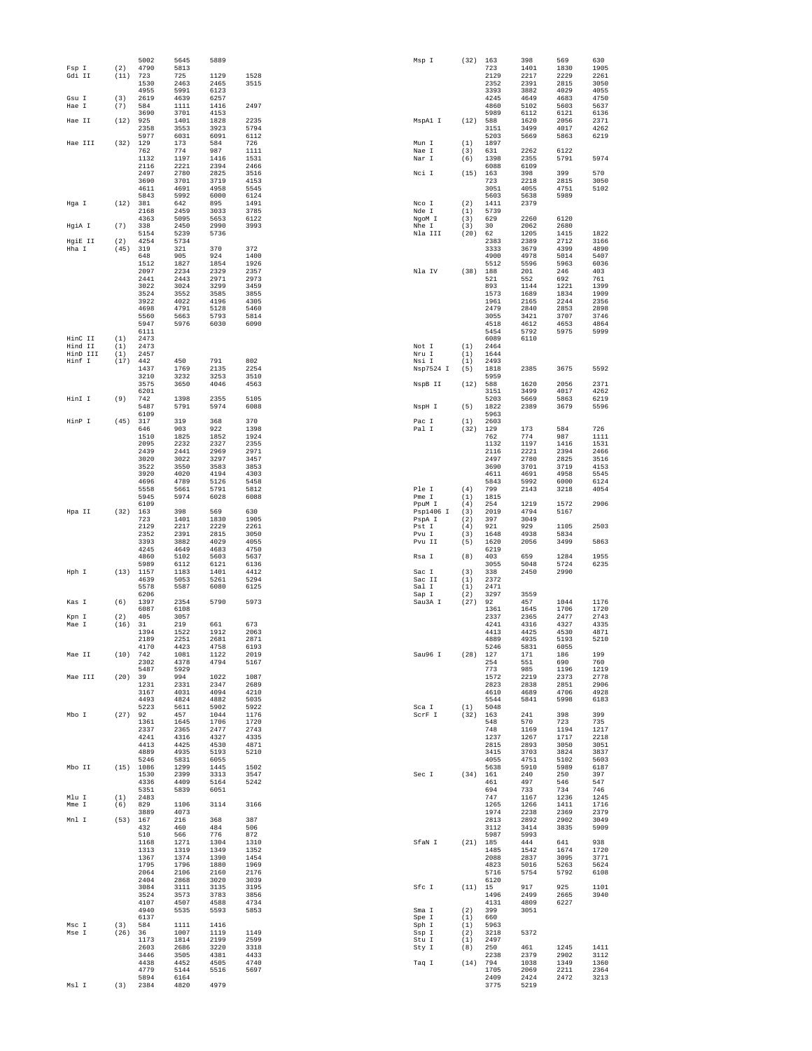|                     |             | 5002         | 5645         | 5889         |              | Msp I           | (32)        | 163          | 398          | 569          | 630          |
|---------------------|-------------|--------------|--------------|--------------|--------------|-----------------|-------------|--------------|--------------|--------------|--------------|
| Fsp I               | (2)         | 4790         | 5813         |              |              |                 |             | 723          | 1401         | 1830         | 1905         |
| Gdi II              | (11)        | 723<br>1530  | 725<br>2463  | 1129<br>2465 | 1528<br>3515 |                 |             | 2129<br>2352 | 2217<br>2391 | 2229<br>2815 | 2261<br>3050 |
|                     |             | 4955         | 5991         | 6123         |              |                 |             | 3393         | 3882         | 4029         | 4055         |
| $Gsu$ T             | (3)         | 2619         | 4639         | 6257         |              |                 |             | 4245         | 4649         | 4683         | 4750         |
| Hae I               | (7)         | 584          | 1111         | 1416         | 2497         |                 |             | 4860         | 5102         | 5603         | 5637         |
|                     |             | 3690         | 3701         | 4153         |              |                 |             | 5989         | 6112         | 6121         | 6136         |
| Hae II              | (12)        | 925<br>2358  | 1401<br>3553 | 1828<br>3923 | 2235<br>5794 | MspAl I         | (12)        | 588<br>3151  | 1620<br>3499 | 2056<br>4017 | 2371<br>4262 |
|                     |             | 5977         | 6031         | 6091         | 6112         |                 |             | 5203         | 5669         | 5863         | 6219         |
| Hae III             | (32)        | 129          | 173          | 584          | 726          | Mun I           | (1)         | 1897         |              |              |              |
|                     |             | 762          | 774          | 987          | 1111         | Nae I           | (3)         | 631          | 2262         | 6122         |              |
|                     |             | 1132         | 1197         | 1416         | 1531         | Nar I           | (6)         | 1398         | 2355         | 5791         | 5974         |
|                     |             | 2116<br>2497 | 2221<br>2780 | 2394<br>2825 | 2466<br>3516 | Nci I           | (15)        | 6088<br>163  | 6109<br>398  | 399          | 570          |
|                     |             | 3690         | 3701         | 3719         | 4153         |                 |             | 723          | 2218         | 2815         | 3050         |
|                     |             | 4611         | 4691         | 4958         | 5545         |                 |             | 3051         | 4055         | 4751         | 5102         |
|                     |             | 5843         | 5992         | 6000         | 6124         |                 |             | 5603         | 5638         | 5989         |              |
| Hga I               | (12)        | 381          | 642          | 895          | 1491         | Nco I           | (2)         | 1411         | 2379         |              |              |
|                     |             | 2168         | 2459         | 3033         | 3785         | Nde I           | (1)         | 5739         |              |              |              |
| HgiA I              | (7)         | 4363<br>338  | 5095<br>2450 | 5653<br>2990 | 6122<br>3993 | NgoM I<br>Nhe I | (3)<br>(3)  | 629<br>30    | 2260<br>2062 | 6120<br>2680 |              |
|                     |             | 5154         | 5239         | 5736         |              | Nla III         | (20)        | 62           | 1205         | 1415         | 1822         |
| HgiE II             | (2)         | 4254         | 5734         |              |              |                 |             | 2383         | 2389         | 2712         | 3166         |
| Hha I               | (45)        | 319          | 321          | 370          | 372          |                 |             | 3333         | 3679         | 4399         | 4890         |
|                     |             | 648<br>1512  | 905          | 924<br>1854  | 1400         |                 |             | 4900         | 4978         | 5014         | 5407         |
|                     |             | 2097         | 1827<br>2234 | 2329         | 1926<br>2357 | Nla IV          | (38)        | 5512<br>188  | 5596<br>201  | 5963<br>246  | 6036<br>403  |
|                     |             | 2441         | 2443         | 2971         | 2973         |                 |             | 521          | 552          | 692          | 761          |
|                     |             | 3022         | 3024         | 3299         | 3459         |                 |             | 893          | 1144         | 1221         | 1399         |
|                     |             | 3524         | 3552         | 3585         | 3855         |                 |             | 1573         | 1689         | 1834         | 1909         |
|                     |             | 3922         | 4022         | 4196         | 4305         |                 |             | 1961         | 2165         | 2244         | 2356         |
|                     |             | 4698<br>5560 | 4791<br>5663 | 5128<br>5793 | 5460<br>5814 |                 |             | 2479<br>3055 | 2840<br>3421 | 2853<br>3707 | 2898<br>3746 |
|                     |             | 5947         | 5976         | 6030         | 6090         |                 |             | 4518         | 4612         | 4653         | 4864         |
|                     |             | 6111         |              |              |              |                 |             | 5454         | 5792         | 5975         | 5999         |
| HinC II             | (1)         | 2473         |              |              |              |                 |             | 6089         | 6110         |              |              |
| Hind II<br>HinD III | (1)         | 2473         |              |              |              | Not I           | (1)         | 2464         |              |              |              |
| Hinf I              | (1)<br>(17) | 2457<br>442  | 450          | 791          | 802          | Nru I<br>Nsi I  | (1)<br>(1)  | 1644<br>2493 |              |              |              |
|                     |             | 1437         | 1769         | 2135         | 2254         | Nsp7524 I       | (5)         | 1818         | 2385         | 3675         | 5592         |
|                     |             | 3210         | 3232         | 3253         | 3510         |                 |             | 5959         |              |              |              |
|                     |             | 3575         | 3650         | 4046         | 4563         | NspB II         | (12)        | 588          | 1620         | 2056         | 2371         |
| HinI I              |             | 6201         |              | 2355         | 5105         |                 |             | 3151         | 3499         | 4017         | 4262<br>6219 |
|                     | (9)         | 742<br>5487  | 1398<br>5791 | 5974         | 6088         | NspH I          | (5)         | 5203<br>1822 | 5669<br>2389 | 5863<br>3679 | 5596         |
|                     |             | 6109         |              |              |              |                 |             | 5963         |              |              |              |
| HinP I              | (45)        | 317          | 319          | 368          | 370          | Pac I           | (1)         | 2603         |              |              |              |
|                     |             | 646          | 903          | 922          | 1398         | Pal I           | (32)        | 129          | 173          | 584          | 726          |
|                     |             | 1510         | 1825         | 1852         | 1924         |                 |             | 762          | 774          | 987          | 1111         |
|                     |             | 2095<br>2439 | 2232<br>2441 | 2327<br>2969 | 2355<br>2971 |                 |             | 1132<br>2116 | 1197<br>2221 | 1416<br>2394 | 1531<br>2466 |
|                     |             | 3020         | 3022         | 3297         | 3457         |                 |             | 2497         | 2780         | 2825         | 3516         |
|                     |             | 3522         | 3550         | 3583         | 3853         |                 |             | 3690         | 3701         | 3719         | 4153         |
|                     |             | 3920         | 4020         | 4194         | 4303         |                 |             | 4611         | 4691         | 4958         | 5545         |
|                     |             | 4696         | 4789         | 5126         | 5458         |                 |             | 5843         | 5992         | 6000         | 6124         |
|                     |             | 5558<br>5945 | 5661<br>5974 | 5791         | 5812<br>6088 | Ple I<br>Pme I  | (4)         | 799<br>1815  | 2143         | 3218         | 4054         |
|                     |             | 6109         |              | 6028         |              | PpuM I          | (1)<br>(4)  | 254          | 1219         | 1572         | 2906         |
| Hpa II              | (32)        | 163          | 398          | 569          | 630          | Psp1406 I       | (3)         | 2019         | 4794         | 5167         |              |
|                     |             | 723          | 1401         | 1830         | 1905         | PspA I          | (2)         | 397          | 3049         |              |              |
|                     |             | 2129         | 2217         | 2229         | 2261         | Pst I           | (4)         | 921          | 929          | 1105         | 2503         |
|                     |             | 2352<br>3393 | 2391<br>3882 | 2815<br>4029 | 3050<br>4055 | Pvu I<br>Pvu II | (3)<br>(5)  | 1648<br>1620 | 4938<br>2056 | 5834<br>3499 | 5863         |
|                     |             | 4245         | 4649         | 4683         | 4750         |                 |             | 6219         |              |              |              |
|                     |             | 4860         | 5102         | 5603         | 5637         | Rsa I           | (8)         | 403          | 659          | 1284         | 1955         |
|                     |             | 5989         | 6112         | 6121         | 6136         |                 |             | 3055         | 5048         | 5724         | 6235         |
| Hph I               |             | (13) 1157    | 1183         | 1401         | 4412         | Sac I           | (3)         | 338          | 2450         | 2990         |              |
|                     |             | 4639<br>5578 | 5053         | 5261<br>6080 | 5294<br>6125 | Sac II<br>Sal I | (1)<br>(1)  | 2372<br>2471 |              |              |              |
|                     |             | 6206         | 5587         |              |              | Sap I           | (2)         | 3297         | 3559         |              |              |
| Kas I               | (6)         | 1397         | 2354         | 5790         | 5973         | Sau3A I         | (27)        | 92           | 457          | 1044         | 1176         |
|                     |             | 6087         | 6108         |              |              |                 |             | 1361         | 1645         | 1706         | 1720         |
| Kpn I               | (2)         | 405          | 3057         |              |              |                 |             | 2337         | 2365         | 2477         | 2743         |
| Mae I               | (16)        | 31<br>1394   | 219<br>1522  | 661<br>1912  | 673<br>2063  |                 |             | 4241<br>4413 | 4316<br>4425 | 4327<br>4530 | 4335<br>4871 |
|                     |             | 2189         | 2251         | 2681         | 2871         |                 |             | 4889         | 4935         | 5193         | 5210         |
|                     |             | 4170         | 4423         | 4758         | 6193         |                 |             | 5246         | 5831         | 6055         |              |
| Mae II              | (10)        | 742          | 1081         | 1122         | 2019         | Sau96 I         | (28)        | 127          | 171          | 186          | 199          |
|                     |             | 2302         | 4378         | 4794         | 5167         |                 |             | 254<br>773   | 551<br>985   | 690          | 760          |
| Mae III             | $(20)$ 39   | 5487         | 5929<br>994  | 1022         | 1087         |                 |             | 1572         | 2219         | 1196<br>2373 | 1219<br>2778 |
|                     |             | 1231         | 2331         | 2347         | 2689         |                 |             | 2823         | 2838         | 2851         | 2906         |
|                     |             | 3167         | 4031         | 4094         | 4210         |                 |             | 4610         | 4689         | 4706         | 4928         |
|                     |             | 4493         | 4824         | 4882         | 5035         |                 |             | 5544         | 5841         | 5998         | 6183         |
| Mbo I               | $(27)$ 92   | 5223         | 5611<br>457  | 5902<br>1044 | 5922<br>1176 | Sca I<br>SCrF I | (1)<br>(32) | 5048<br>163  | 241          | 398          | 399          |
|                     |             | 1361         | 1645         | 1706         | 1720         |                 |             | 548          | 570          | 723          | 735          |
|                     |             | 2337         | 2365         | 2477         | 2743         |                 |             | 748          | 1169         | 1194         | 1217         |
|                     |             | 4241         | 4316         | 4327         | 4335         |                 |             | 1237         | 1267         | 1717         | 2218         |
|                     |             | 4413<br>4889 | 4425<br>4935 | 4530<br>5193 | 4871<br>5210 |                 |             | 2815<br>3415 | 2893<br>3703 | 3050<br>3824 | 3051<br>3837 |
|                     |             | 5246         | 5831         | 6055         |              |                 |             | 4055         | 4751         | 5102         | 5603         |
| Mbo TT              |             | (15) 1086    | 1299         | 1445         | 1502         |                 |             | 5638         | 5910         | 5989         | 6187         |
|                     |             |              |              |              | 3547         | Sec I           | (34)        | 161          | 240          | 250          | 397          |
|                     |             | 1530         | 2399         | 3313         |              |                 |             |              |              |              | 547          |
|                     |             | 4336         | 4409         | 5164         | 5242         |                 |             | 461          | 497          | 546          |              |
|                     |             | 5351         | 5839         | 6051         |              |                 |             | 694          | 733          | 734          | 746          |
| Mlu I<br>Mme I      | (1)         | 2483         |              |              |              |                 |             | 747          | 1167         | 1236         | 1245         |
|                     | (6)         | 829<br>3889  | 1106<br>4073 | 3114         | 3166         |                 |             | 1265<br>1974 | 1266<br>2238 | 1411<br>2369 | 1716<br>2379 |
| Mnl I               | (53) 167    |              | 216          | 368          | 387          |                 |             | 2813         | 2892         | 2902         | 3049         |
|                     |             | 432          | 460          | 484          | 506          |                 |             | 3112         | 3414         | 3835         | 5909         |
|                     |             | 510          | 566          | 776          | 872          |                 |             | 5987         | 5993         |              |              |
|                     |             | 1168<br>1313 | 1271<br>1319 | 1304<br>1349 | 1310<br>1352 | SfaN I          | $(21)$ 185  | 1485         | 444<br>1542  | 641<br>1674  | 938<br>1720  |
|                     |             | 1367         | 1374         | 1390         | 1454         |                 |             | 2088         | 2837         | 3095         | 3771         |
|                     |             | 1795         | 1796         | 1880         | 1969         |                 |             | 4823         | 5016         | 5263         | 5624         |
|                     |             | 2064         | 2106         | 2160         | 2176         |                 |             | 5716         | 5754         | 5792         | 6108         |
|                     |             | 2404         | 2868         | 3020         | 3039         |                 |             | 6120         |              |              |              |
|                     |             | 3084<br>3524 | 3111<br>3573 | 3135<br>3783 | 3195<br>3856 | Sfc I           | $(11)$ 15   | 1496         | 917<br>2499  | 925<br>2665  | 1101<br>3940 |
|                     |             | 4107         | 4507         | 4588         | 4734         |                 |             | 4131         | 4809         | 6227         |              |
|                     |             | 4940         | 5535         | 5593         | 5853         | Sma I           | (2)         | 399          | 3051         |              |              |
|                     |             | 6137         |              |              |              | Spe I           | (1)         | 660          |              |              |              |
| Msc I               | (3)         | 584          | 1111         | 1416         |              | Sph I           | (1)         | 5963         |              |              |              |
| Mse I               | (26)        | 36<br>1173   | 1007<br>1814 | 1119<br>2199 | 1149<br>2599 | Ssp I<br>Stu I  | (2)<br>(1)  | 3218<br>2497 | 5372         |              |              |
|                     |             | 2603         | 2686         | 3220         | 3318         | Sty I           | (8)         | 250          | 461          | 1245         | 1411         |
|                     |             | 3446         | 3505         | 4381         | 4433         |                 |             | 2238         | 2379         | 2902         | 3112         |
|                     |             | 4438         | 4452         | 4505         | 4740         | Taq I           | (14)        | 794          | 1038         | 1349         | 1360         |
|                     |             | 4779<br>5894 | 5144<br>6164 | 5516         | 5697         |                 |             | 1705<br>2409 | 2069<br>2424 | 2211<br>2472 | 2364<br>3213 |